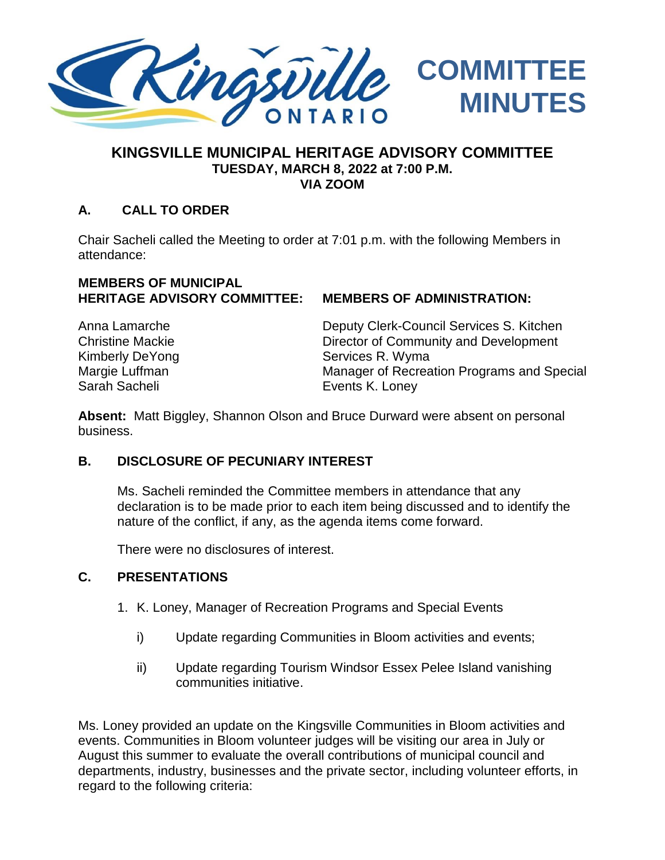

### **KINGSVILLE MUNICIPAL HERITAGE ADVISORY COMMITTEE TUESDAY, MARCH 8, 2022 at 7:00 P.M. VIA ZOOM**

### **A. CALL TO ORDER**

Chair Sacheli called the Meeting to order at 7:01 p.m. with the following Members in attendance:

#### **MEMBERS OF MUNICIPAL HERITAGE ADVISORY COMMITTEE: MEMBERS OF ADMINISTRATION:**

Sarah Sacheli **Events K. Loney** 

Anna Lamarche Deputy Clerk-Council Services S. Kitchen Christine Mackie Director of Community and Development Kimberly DeYong Services R. Wyma Margie Luffman Manager of Recreation Programs and Special

**Absent:** Matt Biggley, Shannon Olson and Bruce Durward were absent on personal business.

### **B. DISCLOSURE OF PECUNIARY INTEREST**

Ms. Sacheli reminded the Committee members in attendance that any declaration is to be made prior to each item being discussed and to identify the nature of the conflict, if any, as the agenda items come forward.

There were no disclosures of interest.

#### **C. PRESENTATIONS**

- 1. K. Loney, Manager of Recreation Programs and Special Events
	- i) Update regarding Communities in Bloom activities and events;
	- ii) Update regarding Tourism Windsor Essex Pelee Island vanishing communities initiative.

Ms. Loney provided an update on the Kingsville Communities in Bloom activities and events. Communities in Bloom volunteer judges will be visiting our area in July or August this summer to evaluate the overall contributions of municipal council and departments, industry, businesses and the private sector, including volunteer efforts, in regard to the following criteria: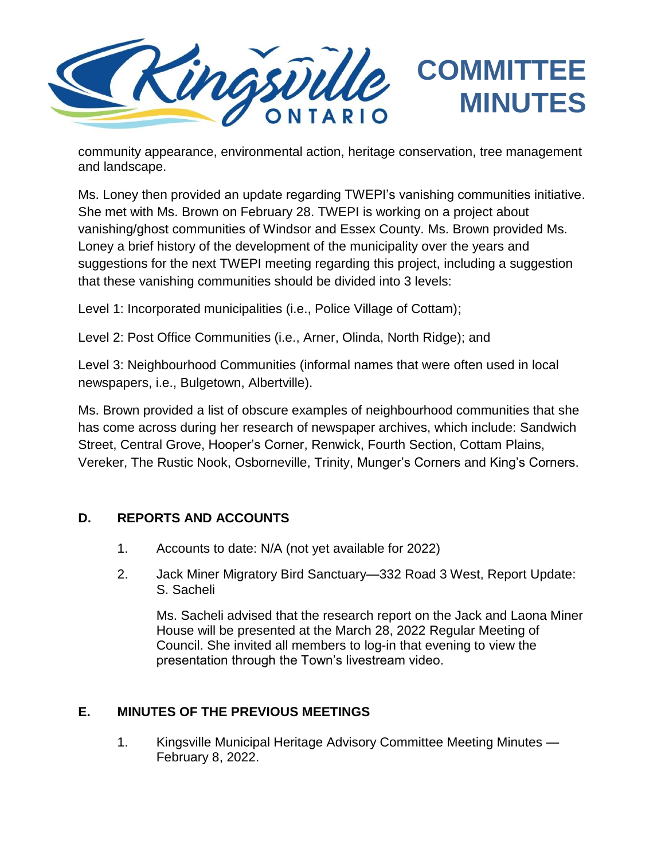

community appearance, environmental action, heritage conservation, tree management and landscape.

Ms. Loney then provided an update regarding TWEPI's vanishing communities initiative. She met with Ms. Brown on February 28. TWEPI is working on a project about vanishing/ghost communities of Windsor and Essex County. Ms. Brown provided Ms. Loney a brief history of the development of the municipality over the years and suggestions for the next TWEPI meeting regarding this project, including a suggestion that these vanishing communities should be divided into 3 levels:

Level 1: Incorporated municipalities (i.e., Police Village of Cottam);

Level 2: Post Office Communities (i.e., Arner, Olinda, North Ridge); and

Level 3: Neighbourhood Communities (informal names that were often used in local newspapers, i.e., Bulgetown, Albertville).

Ms. Brown provided a list of obscure examples of neighbourhood communities that she has come across during her research of newspaper archives, which include: Sandwich Street, Central Grove, Hooper's Corner, Renwick, Fourth Section, Cottam Plains, Vereker, The Rustic Nook, Osborneville, Trinity, Munger's Corners and King's Corners.

### **D. REPORTS AND ACCOUNTS**

- 1. Accounts to date: N/A (not yet available for 2022)
- 2. Jack Miner Migratory Bird Sanctuary—332 Road 3 West, Report Update: S. Sacheli

Ms. Sacheli advised that the research report on the Jack and Laona Miner House will be presented at the March 28, 2022 Regular Meeting of Council. She invited all members to log-in that evening to view the presentation through the Town's livestream video.

# **E. MINUTES OF THE PREVIOUS MEETINGS**

1. Kingsville Municipal Heritage Advisory Committee Meeting Minutes — February 8, 2022.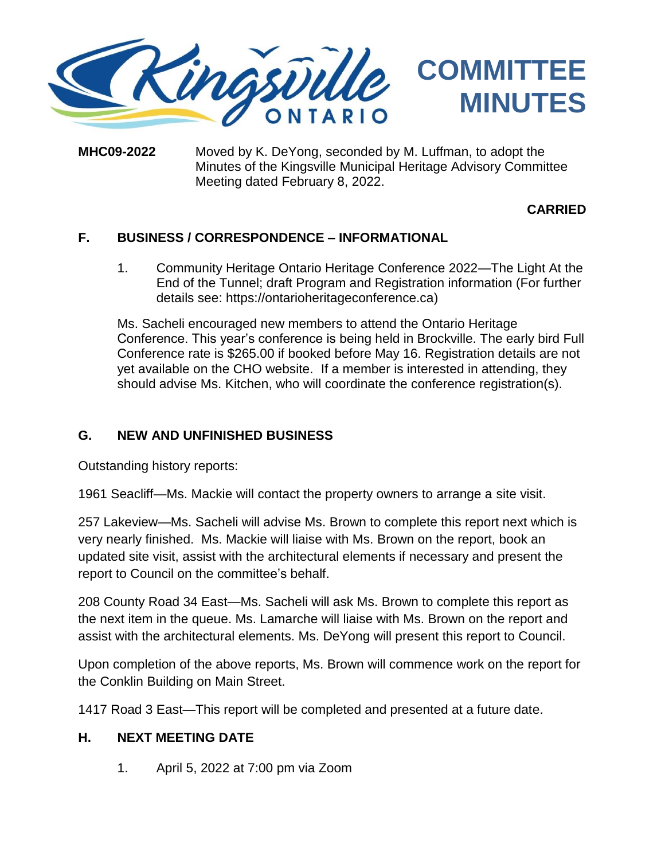

#### **MHC09-2022** Moved by K. DeYong, seconded by M. Luffman, to adopt the Minutes of the Kingsville Municipal Heritage Advisory Committee Meeting dated February 8, 2022.

### **CARRIED**

## **F. BUSINESS / CORRESPONDENCE – INFORMATIONAL**

1. Community Heritage Ontario Heritage Conference 2022—The Light At the End of the Tunnel; draft Program and Registration information (For further details see: [https://ontarioheritageconference.ca\)](https://ontarioheritageconference.ca/)

Ms. Sacheli encouraged new members to attend the Ontario Heritage Conference. This year's conference is being held in Brockville. The early bird Full Conference rate is \$265.00 if booked before May 16. Registration details are not yet available on the CHO website. If a member is interested in attending, they should advise Ms. Kitchen, who will coordinate the conference registration(s).

### **G. NEW AND UNFINISHED BUSINESS**

Outstanding history reports:

1961 Seacliff—Ms. Mackie will contact the property owners to arrange a site visit.

257 Lakeview—Ms. Sacheli will advise Ms. Brown to complete this report next which is very nearly finished. Ms. Mackie will liaise with Ms. Brown on the report, book an updated site visit, assist with the architectural elements if necessary and present the report to Council on the committee's behalf.

208 County Road 34 East—Ms. Sacheli will ask Ms. Brown to complete this report as the next item in the queue. Ms. Lamarche will liaise with Ms. Brown on the report and assist with the architectural elements. Ms. DeYong will present this report to Council.

Upon completion of the above reports, Ms. Brown will commence work on the report for the Conklin Building on Main Street.

1417 Road 3 East—This report will be completed and presented at a future date.

### **H. NEXT MEETING DATE**

1. April 5, 2022 at 7:00 pm via Zoom